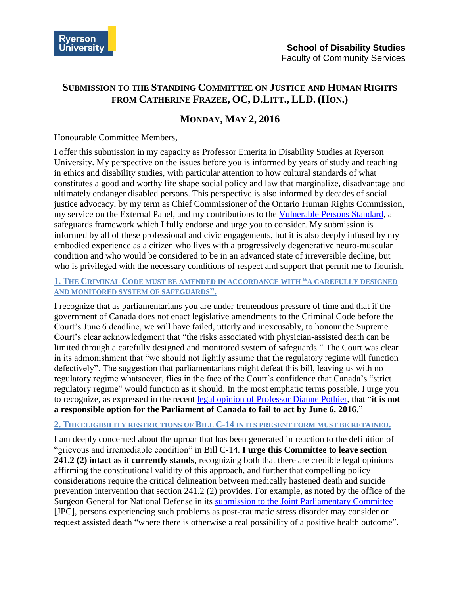

# **SUBMISSION TO THE STANDING COMMITTEE ON JUSTICE AND HUMAN RIGHTS FROM CATHERINE FRAZEE, OC, D.LITT., LLD. (HON.)**

# **MONDAY, MAY 2, 2016**

#### Honourable Committee Members,

I offer this submission in my capacity as Professor Emerita in Disability Studies at Ryerson University. My perspective on the issues before you is informed by years of study and teaching in ethics and disability studies, with particular attention to how cultural standards of what constitutes a good and worthy life shape social policy and law that marginalize, disadvantage and ultimately endanger disabled persons. This perspective is also informed by decades of social justice advocacy, by my term as Chief Commissioner of the Ontario Human Rights Commission, my service on the External Panel, and my contributions to the [Vulnerable Persons Standard,](http://www.vps-npv.ca/) a safeguards framework which I fully endorse and urge you to consider. My submission is informed by all of these professional and civic engagements, but it is also deeply infused by my embodied experience as a citizen who lives with a progressively degenerative neuro-muscular condition and who would be considered to be in an advanced state of irreversible decline, but who is privileged with the necessary conditions of respect and support that permit me to flourish.

### **1. THE CRIMINAL CODE MUST BE AMENDED IN ACCORDANCE WITH "A CAREFULLY DESIGNED AND MONITORED SYSTEM OF SAFEGUARDS".**

I recognize that as parliamentarians you are under tremendous pressure of time and that if the government of Canada does not enact legislative amendments to the Criminal Code before the Court's June 6 deadline, we will have failed, utterly and inexcusably, to honour the Supreme Court's clear acknowledgment that "the risks associated with physician-assisted death can be limited through a carefully designed and monitored system of safeguards." The Court was clear in its admonishment that "we should not lightly assume that the regulatory regime will function defectively". The suggestion that parliamentarians might defeat this bill, leaving us with no regulatory regime whatsoever, flies in the face of the Court's confidence that Canada's "strict regulatory regime" would function as it should. In the most emphatic terms possible, I urge you to recognize, as expressed in the recent legal opinion of [Professor Dianne Pothier,](http://static1.squarespace.com/static/56bb84cb01dbae77f988b71a/t/571a26ac746fb922e0acdb17/1461331628302/Pothier+memo+--+Post+June+6.pdf) that "**it is not a responsible option for the Parliament of Canada to fail to act by June 6, 2016**."

## **2. THE ELIGIBILITY RESTRICTIONS OF BILL C-14 IN ITS PRESENT FORM MUST BE RETAINED.**

I am deeply concerned about the uproar that has been generated in reaction to the definition of "grievous and irremediable condition" in Bill C-14. **I urge this Committee to leave section 241.2 (2) intact as it currently stands**, recognizing both that there are credible legal opinions affirming the constitutional validity of this approach, and further that compelling policy considerations require the critical delineation between medically hastened death and suicide prevention intervention that section 241.2 (2) provides. For example, as noted by the office of the Surgeon General for National Defense in its [submission to the Joint Parliamentary Committee](http://www.parl.gc.ca/Content/HOC/Committee/421/PDAM/Brief/BR8119943/br-external/2016-02-12_brief_Surgeon-General_CF_HCSG_e-e.pdf) [JPC], persons experiencing such problems as post-traumatic stress disorder may consider or request assisted death "where there is otherwise a real possibility of a positive health outcome".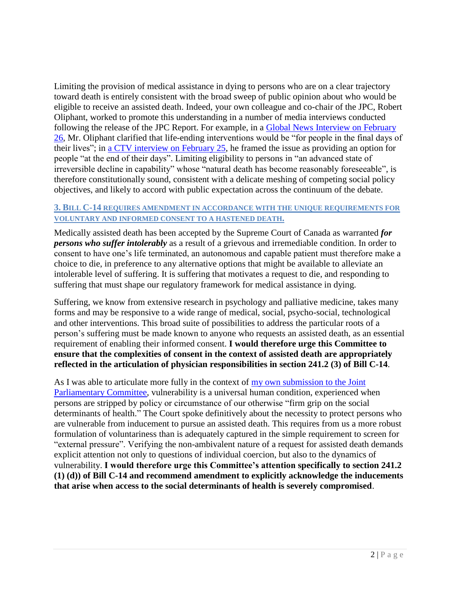Limiting the provision of medical assistance in dying to persons who are on a clear trajectory toward death is entirely consistent with the broad sweep of public opinion about who would be eligible to receive an assisted death. Indeed, your own colleague and co-chair of the JPC, Robert Oliphant, worked to promote this understanding in a number of media interviews conducted following the release of the JPC Report. For example, in a [Global News Interview on](http://globalnews.ca/video/2543534/mp-calls-physician-assisted-dying-end-of-life-care) February [26,](http://globalnews.ca/video/2543534/mp-calls-physician-assisted-dying-end-of-life-care) Mr. Oliphant clarified that life-ending interventions would be "for people in the final days of their lives"; in [a CTV interview on February 25,](http://www.ctvnews.ca/health/committee-wants-assisted-dying-law-to-include-mentally-ill-mature-minors-1.2792378) he framed the issue as providing an option for people "at the end of their days". Limiting eligibility to persons in "an advanced state of irreversible decline in capability" whose "natural death has become reasonably foreseeable", is therefore constitutionally sound, consistent with a delicate meshing of competing social policy objectives, and likely to accord with public expectation across the continuum of the debate.

#### **3. BILL C-14 REQUIRES AMENDMENT IN ACCORDANCE WITH THE UNIQUE REQUIREMENTS FOR VOLUNTARY AND INFORMED CONSENT TO A HASTENED DEATH.**

Medically assisted death has been accepted by the Supreme Court of Canada as warranted *for persons who suffer intolerably* as a result of a grievous and irremediable condition. In order to consent to have one's life terminated, an autonomous and capable patient must therefore make a choice to die, in preference to any alternative options that might be available to alleviate an intolerable level of suffering. It is suffering that motivates a request to die, and responding to suffering that must shape our regulatory framework for medical assistance in dying.

Suffering, we know from extensive research in psychology and palliative medicine, takes many forms and may be responsive to a wide range of medical, social, psycho-social, technological and other interventions. This broad suite of possibilities to address the particular roots of a person's suffering must be made known to anyone who requests an assisted death, as an essential requirement of enabling their informed consent. **I would therefore urge this Committee to ensure that the complexities of consent in the context of assisted death are appropriately reflected in the articulation of physician responsibilities in section 241.2 (3) of Bill C-14**.

As I was able to articulate more fully in the context of  $\frac{my}{my}$  own submission to the Joint [Parliamentary Committee,](http://www.parl.gc.ca/Content/HOC/Committee/421/PDAM/Brief/BR8103887/br-external/2016-02-12_brief_Catherine_Frazee_e-e.pdf) vulnerability is a universal human condition, experienced when persons are stripped by policy or circumstance of our otherwise "firm grip on the social determinants of health." The Court spoke definitively about the necessity to protect persons who are vulnerable from inducement to pursue an assisted death. This requires from us a more robust formulation of voluntariness than is adequately captured in the simple requirement to screen for "external pressure". Verifying the non-ambivalent nature of a request for assisted death demands explicit attention not only to questions of individual coercion, but also to the dynamics of vulnerability. **I would therefore urge this Committee's attention specifically to section 241.2 (1) (d)) of Bill C-14 and recommend amendment to explicitly acknowledge the inducements that arise when access to the social determinants of health is severely compromised**.